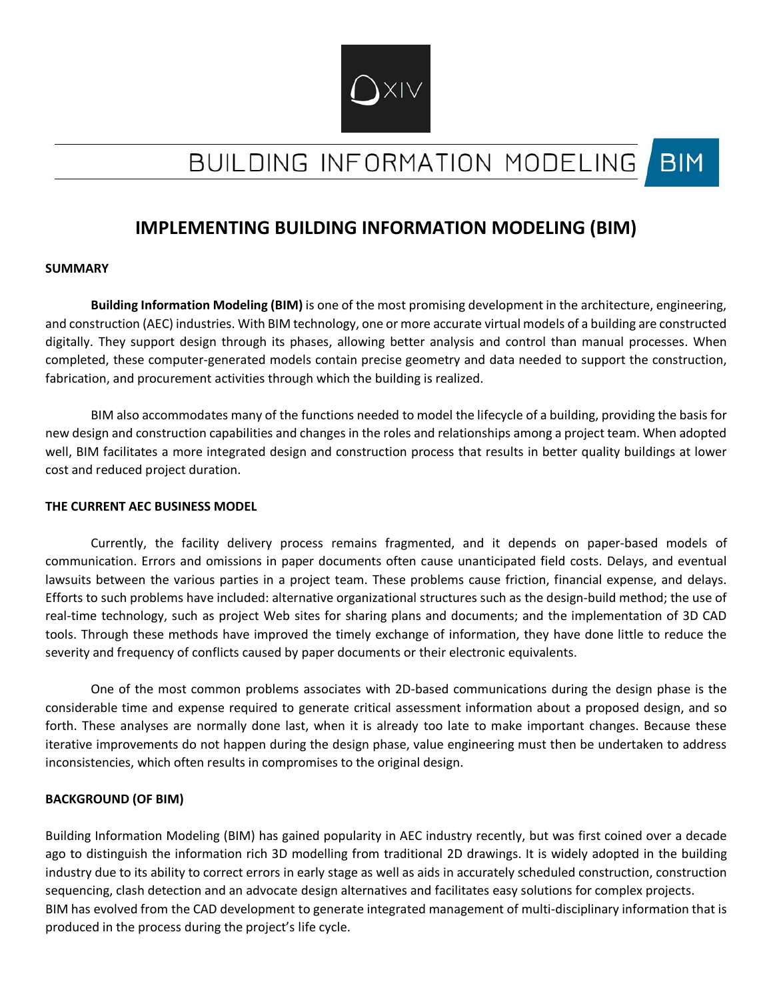

# BUILDING INFORMATION MODELING **BIM**

# **IMPLEMENTING BUILDING INFORMATION MODELING (BIM)**

### **SUMMARY**

**Building Information Modeling (BIM)** is one of the most promising development in the architecture, engineering, and construction (AEC) industries. With BIM technology, one or more accurate virtual models of a building are constructed digitally. They support design through its phases, allowing better analysis and control than manual processes. When completed, these computer-generated models contain precise geometry and data needed to support the construction, fabrication, and procurement activities through which the building is realized.

BIM also accommodates many of the functions needed to model the lifecycle of a building, providing the basis for new design and construction capabilities and changes in the roles and relationships among a project team. When adopted well, BIM facilitates a more integrated design and construction process that results in better quality buildings at lower cost and reduced project duration.

#### **THE CURRENT AEC BUSINESS MODEL**

Currently, the facility delivery process remains fragmented, and it depends on paper-based models of communication. Errors and omissions in paper documents often cause unanticipated field costs. Delays, and eventual lawsuits between the various parties in a project team. These problems cause friction, financial expense, and delays. Efforts to such problems have included: alternative organizational structures such as the design-build method; the use of real-time technology, such as project Web sites for sharing plans and documents; and the implementation of 3D CAD tools. Through these methods have improved the timely exchange of information, they have done little to reduce the severity and frequency of conflicts caused by paper documents or their electronic equivalents.

One of the most common problems associates with 2D-based communications during the design phase is the considerable time and expense required to generate critical assessment information about a proposed design, and so forth. These analyses are normally done last, when it is already too late to make important changes. Because these iterative improvements do not happen during the design phase, value engineering must then be undertaken to address inconsistencies, which often results in compromises to the original design.

## **BACKGROUND (OF BIM)**

Building Information Modeling (BIM) has gained popularity in AEC industry recently, but was first coined over a decade ago to distinguish the information rich 3D modelling from traditional 2D drawings. It is widely adopted in the building industry due to its ability to correct errors in early stage as well as aids in accurately scheduled construction, construction sequencing, clash detection and an advocate design alternatives and facilitates easy solutions for complex projects. BIM has evolved from the CAD development to generate integrated management of multi-disciplinary information that is produced in the process during the project's life cycle.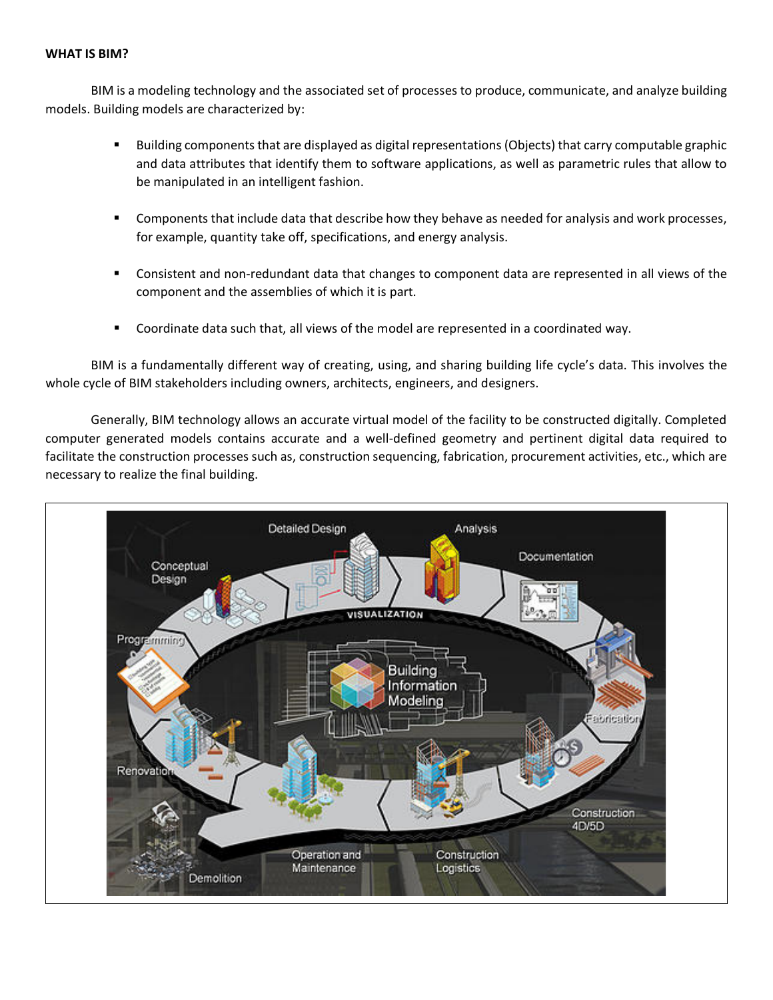#### **WHAT IS BIM?**

BIM is a modeling technology and the associated set of processes to produce, communicate, and analyze building models. Building models are characterized by:

- Building components that are displayed as digital representations (Objects) that carry computable graphic and data attributes that identify them to software applications, as well as parametric rules that allow to be manipulated in an intelligent fashion.
- Components that include data that describe how they behave as needed for analysis and work processes, for example, quantity take off, specifications, and energy analysis.
- Consistent and non-redundant data that changes to component data are represented in all views of the component and the assemblies of which it is part.
- Coordinate data such that, all views of the model are represented in a coordinated way.

BIM is a fundamentally different way of creating, using, and sharing building life cycle's data. This involves the whole cycle of BIM stakeholders including owners, architects, engineers, and designers.

Generally, BIM technology allows an accurate virtual model of the facility to be constructed digitally. Completed computer generated models contains accurate and a well-defined geometry and pertinent digital data required to facilitate the construction processes such as, construction sequencing, fabrication, procurement activities, etc., which are necessary to realize the final building.

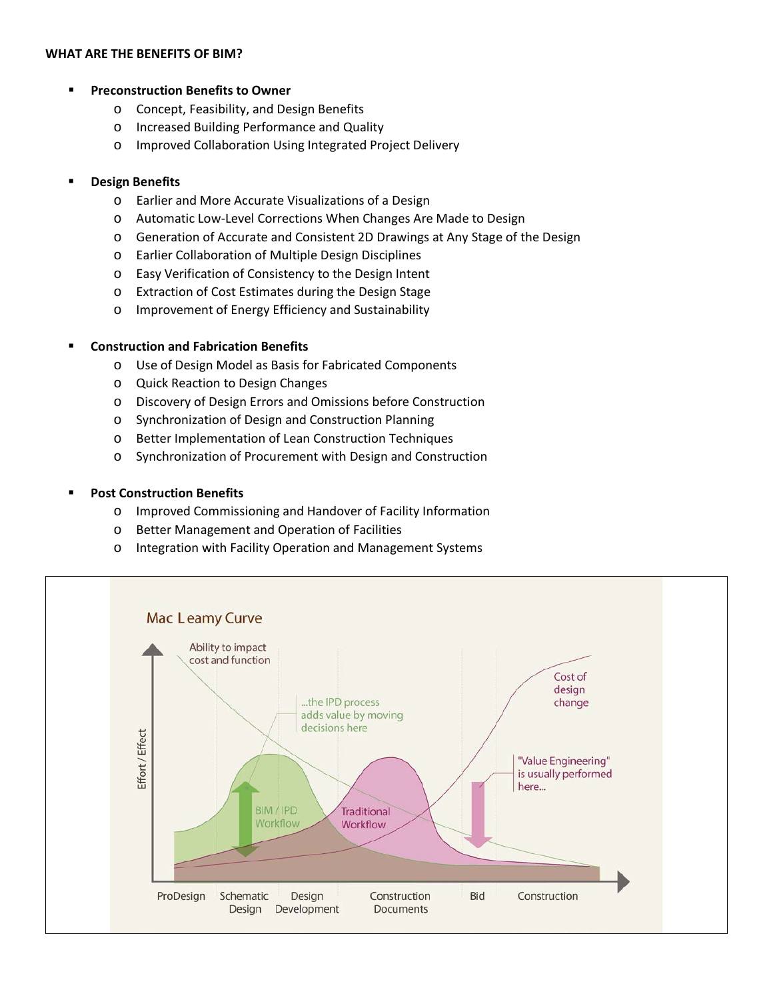#### **WHAT ARE THE BENEFITS OF BIM?**

### **Preconstruction Benefits to Owner**

- o Concept, Feasibility, and Design Benefits
- o Increased Building Performance and Quality
- o Improved Collaboration Using Integrated Project Delivery

### **Design Benefits**

- o Earlier and More Accurate Visualizations of a Design
- o Automatic Low-Level Corrections When Changes Are Made to Design
- o Generation of Accurate and Consistent 2D Drawings at Any Stage of the Design
- o Earlier Collaboration of Multiple Design Disciplines
- o Easy Verification of Consistency to the Design Intent
- o Extraction of Cost Estimates during the Design Stage
- o Improvement of Energy Efficiency and Sustainability

### **Construction and Fabrication Benefits**

- o Use of Design Model as Basis for Fabricated Components
- o Quick Reaction to Design Changes
- o Discovery of Design Errors and Omissions before Construction
- o Synchronization of Design and Construction Planning
- o Better Implementation of Lean Construction Techniques
- o Synchronization of Procurement with Design and Construction

## **Post Construction Benefits**

- o Improved Commissioning and Handover of Facility Information
- o Better Management and Operation of Facilities
- o Integration with Facility Operation and Management Systems

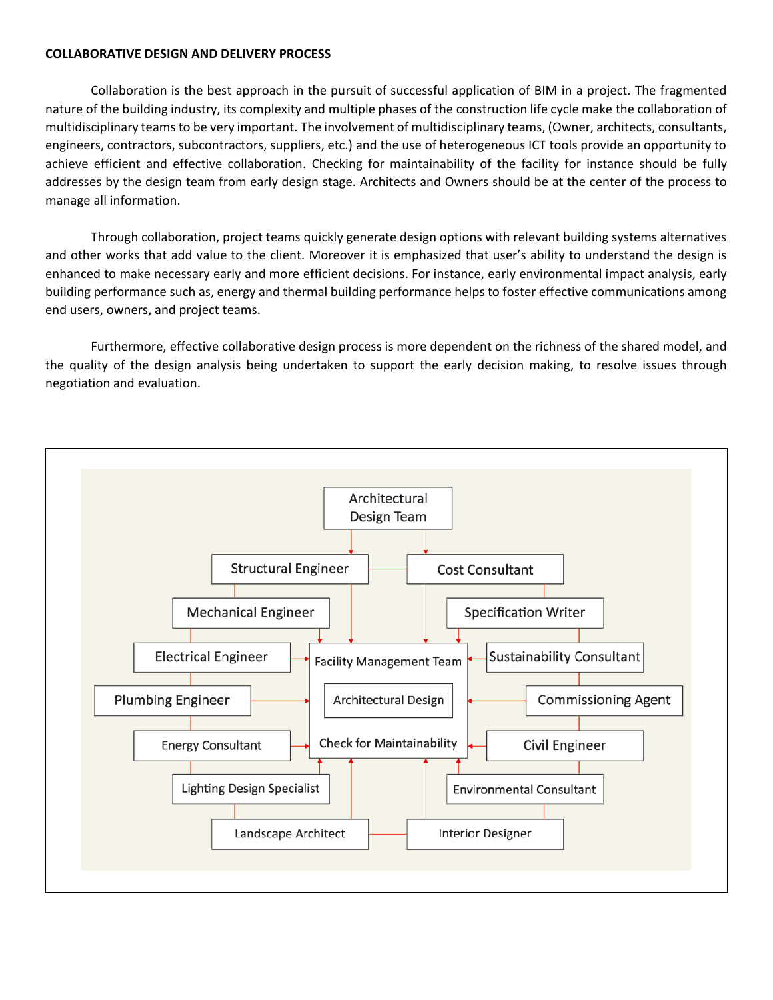## **COLLABORATIVE DESIGN AND DELIVERY PROCESS**

Collaboration is the best approach in the pursuit of successful application of BIM in a project. The fragmented nature of the building industry, its complexity and multiple phases of the construction life cycle make the collaboration of multidisciplinary teams to be very important. The involvement of multidisciplinary teams, (Owner, architects, consultants, engineers, contractors, subcontractors, suppliers, etc.) and the use of heterogeneous ICT tools provide an opportunity to achieve efficient and effective collaboration. Checking for maintainability of the facility for instance should be fully addresses by the design team from early design stage. Architects and Owners should be at the center of the process to manage all information.

Through collaboration, project teams quickly generate design options with relevant building systems alternatives and other works that add value to the client. Moreover it is emphasized that user's ability to understand the design is enhanced to make necessary early and more efficient decisions. For instance, early environmental impact analysis, early building performance such as, energy and thermal building performance helps to foster effective communications among end users, owners, and project teams.

Furthermore, effective collaborative design process is more dependent on the richness of the shared model, and the quality of the design analysis being undertaken to support the early decision making, to resolve issues through negotiation and evaluation.